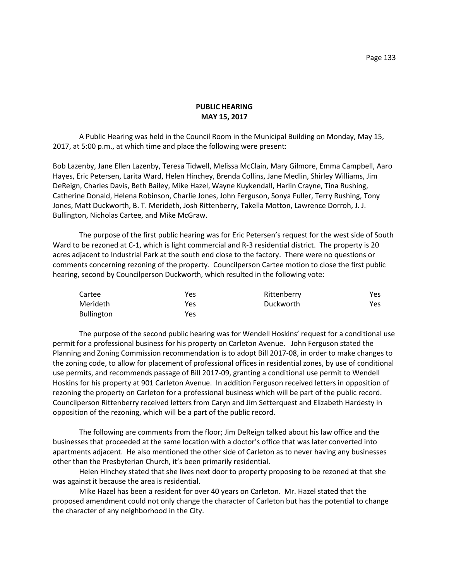## **PUBLIC HEARING MAY 15, 2017**

A Public Hearing was held in the Council Room in the Municipal Building on Monday, May 15, 2017, at 5:00 p.m., at which time and place the following were present:

Bob Lazenby, Jane Ellen Lazenby, Teresa Tidwell, Melissa McClain, Mary Gilmore, Emma Campbell, Aaro Hayes, Eric Petersen, Larita Ward, Helen Hinchey, Brenda Collins, Jane Medlin, Shirley Williams, Jim DeReign, Charles Davis, Beth Bailey, Mike Hazel, Wayne Kuykendall, Harlin Crayne, Tina Rushing, Catherine Donald, Helena Robinson, Charlie Jones, John Ferguson, Sonya Fuller, Terry Rushing, Tony Jones, Matt Duckworth, B. T. Merideth, Josh Rittenberry, Takella Motton, Lawrence Dorroh, J. J. Bullington, Nicholas Cartee, and Mike McGraw.

The purpose of the first public hearing was for Eric Petersen's request for the west side of South Ward to be rezoned at C-1, which is light commercial and R-3 residential district. The property is 20 acres adjacent to Industrial Park at the south end close to the factory. There were no questions or comments concerning rezoning of the property. Councilperson Cartee motion to close the first public hearing, second by Councilperson Duckworth, which resulted in the following vote:

| Cartee            | Yes | Rittenberry | Yes |
|-------------------|-----|-------------|-----|
| Merideth          | Yes | Duckworth   | Yes |
| <b>Bullington</b> | Yes |             |     |

The purpose of the second public hearing was for Wendell Hoskins' request for a conditional use permit for a professional business for his property on Carleton Avenue. John Ferguson stated the Planning and Zoning Commission recommendation is to adopt Bill 2017-08, in order to make changes to the zoning code, to allow for placement of professional offices in residential zones, by use of conditional use permits, and recommends passage of Bill 2017-09, granting a conditional use permit to Wendell Hoskins for his property at 901 Carleton Avenue. In addition Ferguson received letters in opposition of rezoning the property on Carleton for a professional business which will be part of the public record. Councilperson Rittenberry received letters from Caryn and Jim Setterquest and Elizabeth Hardesty in opposition of the rezoning, which will be a part of the public record.

The following are comments from the floor; Jim DeReign talked about his law office and the businesses that proceeded at the same location with a doctor's office that was later converted into apartments adjacent. He also mentioned the other side of Carleton as to never having any businesses other than the Presbyterian Church, it's been primarily residential.

Helen Hinchey stated that she lives next door to property proposing to be rezoned at that she was against it because the area is residential.

Mike Hazel has been a resident for over 40 years on Carleton. Mr. Hazel stated that the proposed amendment could not only change the character of Carleton but has the potential to change the character of any neighborhood in the City.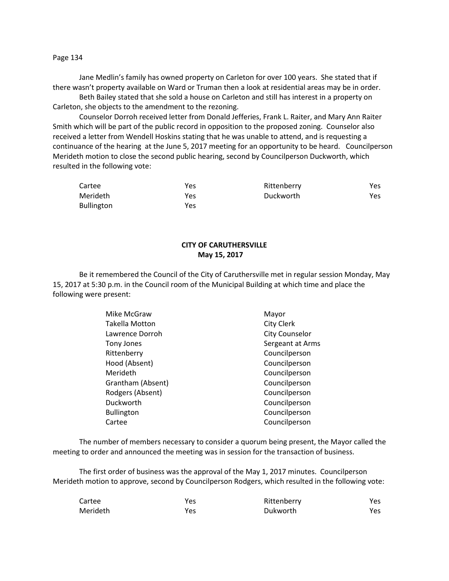Page 134

Jane Medlin's family has owned property on Carleton for over 100 years. She stated that if there wasn't property available on Ward or Truman then a look at residential areas may be in order.

Beth Bailey stated that she sold a house on Carleton and still has interest in a property on Carleton, she objects to the amendment to the rezoning.

Counselor Dorroh received letter from Donald Jefferies, Frank L. Raiter, and Mary Ann Raiter Smith which will be part of the public record in opposition to the proposed zoning. Counselor also received a letter from Wendell Hoskins stating that he was unable to attend, and is requesting a continuance of the hearing at the June 5, 2017 meeting for an opportunity to be heard. Councilperson Merideth motion to close the second public hearing, second by Councilperson Duckworth, which resulted in the following vote:

| Cartee            | Yes | Rittenberry | Yes |
|-------------------|-----|-------------|-----|
| Merideth          | Yes | Duckworth   | Yes |
| <b>Bullington</b> | Yes |             |     |

# **CITY OF CARUTHERSVILLE May 15, 2017**

Be it remembered the Council of the City of Caruthersville met in regular session Monday, May 15, 2017 at 5:30 p.m. in the Council room of the Municipal Building at which time and place the following were present:

| Mike McGraw           | Mayor                 |
|-----------------------|-----------------------|
| <b>Takella Motton</b> | City Clerk            |
| Lawrence Dorroh       | <b>City Counselor</b> |
| Tony Jones            | Sergeant at Arms      |
| Rittenberry           | Councilperson         |
| Hood (Absent)         | Councilperson         |
| Merideth              | Councilperson         |
| Grantham (Absent)     | Councilperson         |
| Rodgers (Absent)      | Councilperson         |
| Duckworth             | Councilperson         |
| <b>Bullington</b>     | Councilperson         |
| Cartee                | Councilperson         |
|                       |                       |

The number of members necessary to consider a quorum being present, the Mayor called the meeting to order and announced the meeting was in session for the transaction of business.

The first order of business was the approval of the May 1, 2017 minutes. Councilperson Merideth motion to approve, second by Councilperson Rodgers, which resulted in the following vote:

| Cartee   | Yes | Rittenberry | Yes |
|----------|-----|-------------|-----|
| Merideth | Yes | Dukworth    | Yes |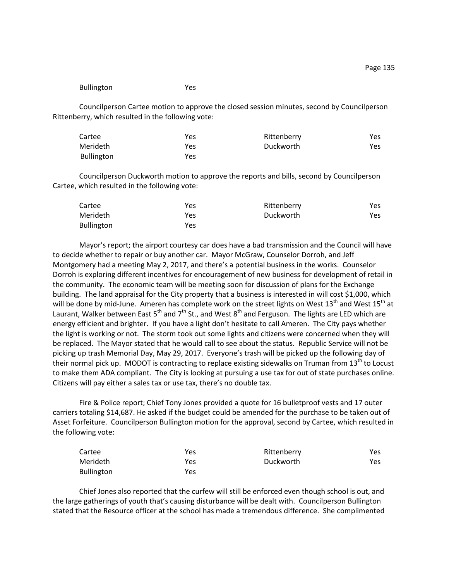#### Bullington Yes

Councilperson Cartee motion to approve the closed session minutes, second by Councilperson Rittenberry, which resulted in the following vote:

| Cartee            | Yes | Rittenberry | Yes |
|-------------------|-----|-------------|-----|
| Merideth          | Yes | Duckworth   | Yes |
| <b>Bullington</b> | Yes |             |     |

Councilperson Duckworth motion to approve the reports and bills, second by Councilperson Cartee, which resulted in the following vote:

| Cartee            | Yes | Rittenberry | Yes. |
|-------------------|-----|-------------|------|
| Merideth          | Yes | Duckworth   | Yes. |
| <b>Bullington</b> | Yes |             |      |

Mayor's report; the airport courtesy car does have a bad transmission and the Council will have to decide whether to repair or buy another car. Mayor McGraw, Counselor Dorroh, and Jeff Montgomery had a meeting May 2, 2017, and there's a potential business in the works. Counselor Dorroh is exploring different incentives for encouragement of new business for development of retail in the community. The economic team will be meeting soon for discussion of plans for the Exchange building. The land appraisal for the City property that a business is interested in will cost \$1,000, which will be done by mid-June. Ameren has complete work on the street lights on West  $13<sup>th</sup>$  and West  $15<sup>th</sup>$  at Laurant, Walker between East  $5<sup>th</sup>$  and  $7<sup>th</sup>$  St., and West  $8<sup>th</sup>$  and Ferguson. The lights are LED which are energy efficient and brighter. If you have a light don't hesitate to call Ameren. The City pays whether the light is working or not. The storm took out some lights and citizens were concerned when they will be replaced. The Mayor stated that he would call to see about the status. Republic Service will not be picking up trash Memorial Day, May 29, 2017. Everyone's trash will be picked up the following day of their normal pick up. MODOT is contracting to replace existing sidewalks on Truman from 13<sup>th</sup> to Locust to make them ADA compliant. The City is looking at pursuing a use tax for out of state purchases online. Citizens will pay either a sales tax or use tax, there's no double tax.

Fire & Police report; Chief Tony Jones provided a quote for 16 bulletproof vests and 17 outer carriers totaling \$14,687. He asked if the budget could be amended for the purchase to be taken out of Asset Forfeiture. Councilperson Bullington motion for the approval, second by Cartee, which resulted in the following vote:

| Cartee            | Yes | Rittenberry | Yes |
|-------------------|-----|-------------|-----|
| Merideth          | Yes | Duckworth   | Yes |
| <b>Bullington</b> | Yes |             |     |

Chief Jones also reported that the curfew will still be enforced even though school is out, and the large gatherings of youth that's causing disturbance will be dealt with. Councilperson Bullington stated that the Resource officer at the school has made a tremendous difference. She complimented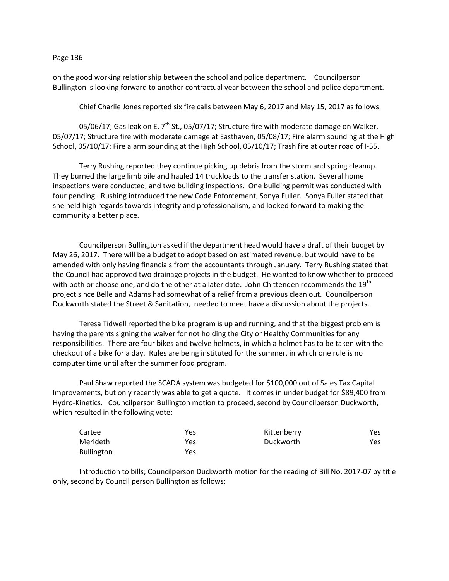#### Page 136

on the good working relationship between the school and police department. Councilperson Bullington is looking forward to another contractual year between the school and police department.

Chief Charlie Jones reported six fire calls between May 6, 2017 and May 15, 2017 as follows:

05/06/17; Gas leak on E.  $7<sup>th</sup>$  St., 05/07/17; Structure fire with moderate damage on Walker, 05/07/17; Structure fire with moderate damage at Easthaven, 05/08/17; Fire alarm sounding at the High School, 05/10/17; Fire alarm sounding at the High School, 05/10/17; Trash fire at outer road of I-55.

Terry Rushing reported they continue picking up debris from the storm and spring cleanup. They burned the large limb pile and hauled 14 truckloads to the transfer station. Several home inspections were conducted, and two building inspections. One building permit was conducted with four pending. Rushing introduced the new Code Enforcement, Sonya Fuller. Sonya Fuller stated that she held high regards towards integrity and professionalism, and looked forward to making the community a better place.

Councilperson Bullington asked if the department head would have a draft of their budget by May 26, 2017. There will be a budget to adopt based on estimated revenue, but would have to be amended with only having financials from the accountants through January. Terry Rushing stated that the Council had approved two drainage projects in the budget. He wanted to know whether to proceed with both or choose one, and do the other at a later date. John Chittenden recommends the  $19<sup>th</sup>$ project since Belle and Adams had somewhat of a relief from a previous clean out. Councilperson Duckworth stated the Street & Sanitation, needed to meet have a discussion about the projects.

Teresa Tidwell reported the bike program is up and running, and that the biggest problem is having the parents signing the waiver for not holding the City or Healthy Communities for any responsibilities. There are four bikes and twelve helmets, in which a helmet has to be taken with the checkout of a bike for a day. Rules are being instituted for the summer, in which one rule is no computer time until after the summer food program.

Paul Shaw reported the SCADA system was budgeted for \$100,000 out of Sales Tax Capital Improvements, but only recently was able to get a quote. It comes in under budget for \$89,400 from Hydro-Kinetics. Councilperson Bullington motion to proceed, second by Councilperson Duckworth, which resulted in the following vote:

| Cartee            | Yes | Rittenberry | Yes |
|-------------------|-----|-------------|-----|
| Merideth          | Yes | Duckworth   | Yes |
| <b>Bullington</b> | Yes |             |     |

Introduction to bills; Councilperson Duckworth motion for the reading of Bill No. 2017-07 by title only, second by Council person Bullington as follows: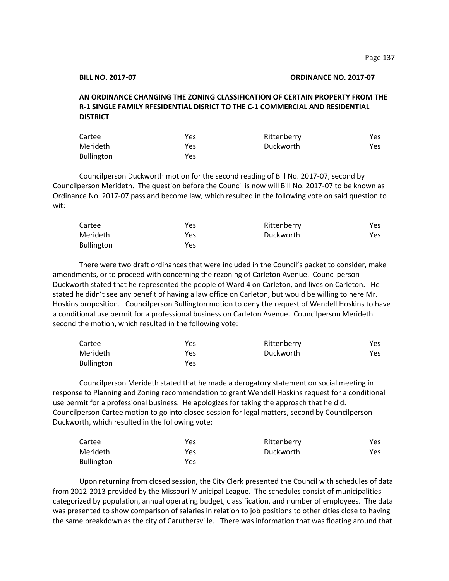### **BILL NO. 2017-07 ORDINANCE NO. 2017-07**

# **AN ORDINANCE CHANGING THE ZONING CLASSIFICATION OF CERTAIN PROPERTY FROM THE R-1 SINGLE FAMILY RFESIDENTIAL DISRICT TO THE C-1 COMMERCIAL AND RESIDENTIAL DISTRICT**

| Cartee            | Yes | Rittenberry | Yes. |
|-------------------|-----|-------------|------|
| Merideth          | Yes | Duckworth   | Yes. |
| <b>Bullington</b> | Yes |             |      |

Councilperson Duckworth motion for the second reading of Bill No. 2017-07, second by Councilperson Merideth. The question before the Council is now will Bill No. 2017-07 to be known as Ordinance No. 2017-07 pass and become law, which resulted in the following vote on said question to wit:

| Cartee     | Yes | Rittenberry | Yes. |
|------------|-----|-------------|------|
| Merideth   | Yes | Duckworth   | Yes. |
| Bullington | Yes |             |      |

There were two draft ordinances that were included in the Council's packet to consider, make amendments, or to proceed with concerning the rezoning of Carleton Avenue. Councilperson Duckworth stated that he represented the people of Ward 4 on Carleton, and lives on Carleton. He stated he didn't see any benefit of having a law office on Carleton, but would be willing to here Mr. Hoskins proposition. Councilperson Bullington motion to deny the request of Wendell Hoskins to have a conditional use permit for a professional business on Carleton Avenue. Councilperson Merideth second the motion, which resulted in the following vote:

| Cartee            | Yes | Rittenberry | Yes |
|-------------------|-----|-------------|-----|
| Merideth          | Yes | Duckworth   | Yes |
| <b>Bullington</b> | Yes |             |     |

Councilperson Merideth stated that he made a derogatory statement on social meeting in response to Planning and Zoning recommendation to grant Wendell Hoskins request for a conditional use permit for a professional business. He apologizes for taking the approach that he did. Councilperson Cartee motion to go into closed session for legal matters, second by Councilperson Duckworth, which resulted in the following vote:

| Cartee            | Yes | Rittenberry | Yes  |
|-------------------|-----|-------------|------|
| Merideth          | Yes | Duckworth   | Yes. |
| <b>Bullington</b> | Yes |             |      |

Upon returning from closed session, the City Clerk presented the Council with schedules of data from 2012-2013 provided by the Missouri Municipal League. The schedules consist of municipalities categorized by population, annual operating budget, classification, and number of employees. The data was presented to show comparison of salaries in relation to job positions to other cities close to having the same breakdown as the city of Caruthersville. There was information that was floating around that